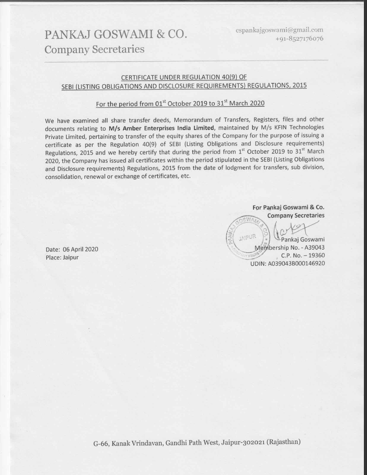## PANKAJ GOSWAMI & CO. **Company Secretaries**

## CERTIFICATE UNDER REGULATION 40(9) OF SEBI (LISTING OBLIGATIONS AND DISCLOSURE REQUIREMENTS) REGULATIONS, 2015

## For the period from 01st October 2019 to 31st March 2020

We have examined all share transfer deeds, Memorandum of Transfers, Registers, files and other documents relating to M/s Amber Enterprises India Limited, maintained by M/s KFIN Technologies Private Limited, pertaining to transfer of the equity shares of the Company for the purpose of issuing a certificate as per the Regulation 40(9) of SEBI (Listing Obligations and Disclosure requirements) Regulations, 2015 and we hereby certify that during the period from 1st October 2019 to 31st March 2020, the Company has issued all certificates within the period stipulated in the SEBI (Listing Obligations and Disclosure requirements) Regulations, 2015 from the date of lodgment for transfers, sub division, consolidation, renewal or exchange of certificates, etc.

> For Pankaj Goswami & Co. **Company Secretaries**

ew.

**LAIPUR** Pankaj Goswami Membership No. - A39043  $C.P. No. - 19360$ **Y SEOF** UDIN: A039043B000146920

Date: 06 April 2020 Place: Jaipur

G-66, Kanak Vrindavan, Gandhi Path West, Jaipur-302021 (Rajasthan)